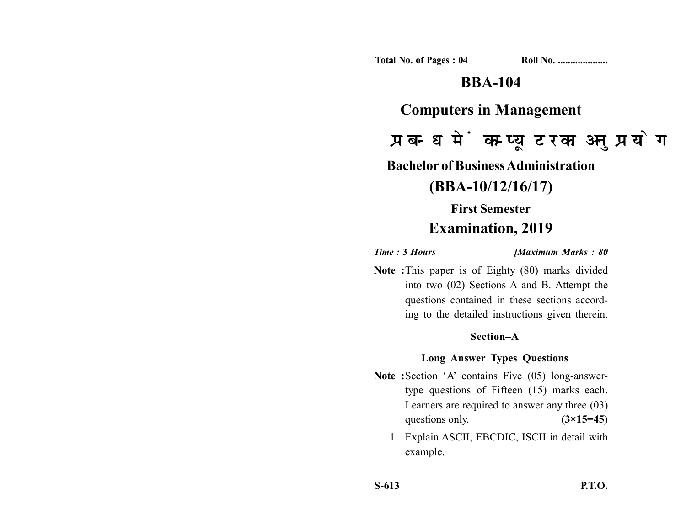**Total No. of Pages : 04 Roll No. ...................** 

## **BBA-104**

### **Computers in Management**

# प्रबन्ध में कम्प्यूटर का अनुप्रयोग

**Bachelor of Business Administration**

### **(BBA-10/12/16/17)**

# **First Semester Examination, 2019**

*Time :* **3** *Hours [Maximum Marks : 80*

**Note :**This paper is of Eighty (80) marks divided into two (02) Sections A and B. Attempt the questions contained in these sections according to the detailed instructions given therein.

### **Section–A**

### **Long Answer Types Questions**

- Note :Section 'A' contains Five (05) long-answertype questions of Fifteen (15) marks each. Learners are required to answer any three (03) questions only. **(3×15=45)** 
	- 1. Explain ASCII, EBCDIC, ISCII in detail with example.